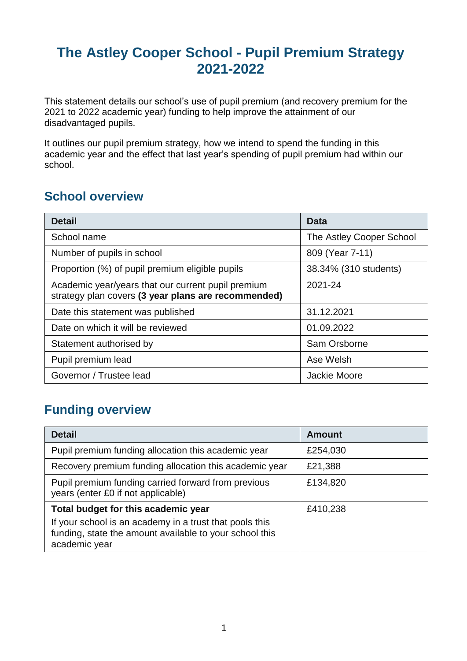# **The Astley Cooper School - Pupil Premium Strategy 2021-2022**

This statement details our school's use of pupil premium (and recovery premium for the 2021 to 2022 academic year) funding to help improve the attainment of our disadvantaged pupils.

It outlines our pupil premium strategy, how we intend to spend the funding in this academic year and the effect that last year's spending of pupil premium had within our school.

### **School overview**

| <b>Detail</b>                                                                                             | Data                     |
|-----------------------------------------------------------------------------------------------------------|--------------------------|
| School name                                                                                               | The Astley Cooper School |
| Number of pupils in school                                                                                | 809 (Year 7-11)          |
| Proportion (%) of pupil premium eligible pupils                                                           | 38.34% (310 students)    |
| Academic year/years that our current pupil premium<br>strategy plan covers (3 year plans are recommended) | 2021-24                  |
| Date this statement was published                                                                         | 31.12.2021               |
| Date on which it will be reviewed                                                                         | 01.09.2022               |
| Statement authorised by                                                                                   | Sam Orsborne             |
| Pupil premium lead                                                                                        | Ase Welsh                |
| Governor / Trustee lead                                                                                   | Jackie Moore             |

## **Funding overview**

| <b>Detail</b>                                                                                                                       | <b>Amount</b> |
|-------------------------------------------------------------------------------------------------------------------------------------|---------------|
| Pupil premium funding allocation this academic year                                                                                 | £254,030      |
| Recovery premium funding allocation this academic year                                                                              | £21,388       |
| Pupil premium funding carried forward from previous<br>years (enter £0 if not applicable)                                           | £134,820      |
| Total budget for this academic year                                                                                                 | £410,238      |
| If your school is an academy in a trust that pools this<br>funding, state the amount available to your school this<br>academic year |               |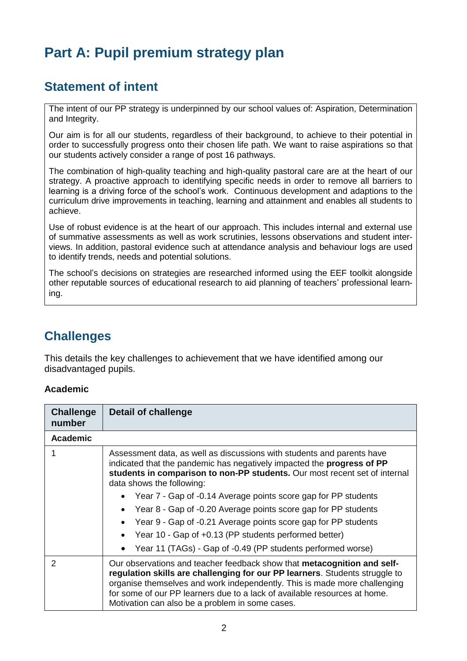# **Part A: Pupil premium strategy plan**

### **Statement of intent**

The intent of our PP strategy is underpinned by our school values of: Aspiration, Determination and Integrity.

Our aim is for all our students, regardless of their background, to achieve to their potential in order to successfully progress onto their chosen life path. We want to raise aspirations so that our students actively consider a range of post 16 pathways.

The combination of high-quality teaching and high-quality pastoral care are at the heart of our strategy. A proactive approach to identifying specific needs in order to remove all barriers to learning is a driving force of the school's work. Continuous development and adaptions to the curriculum drive improvements in teaching, learning and attainment and enables all students to achieve.

Use of robust evidence is at the heart of our approach. This includes internal and external use of summative assessments as well as work scrutinies, lessons observations and student interviews. In addition, pastoral evidence such at attendance analysis and behaviour logs are used to identify trends, needs and potential solutions.

The school's decisions on strategies are researched informed using the EEF toolkit alongside other reputable sources of educational research to aid planning of teachers' professional learning.

### **Challenges**

This details the key challenges to achievement that we have identified among our disadvantaged pupils.

#### **Academic**

| <b>Challenge</b><br>number | <b>Detail of challenge</b>                                                                                                                                                                                                                                                                                                                                          |
|----------------------------|---------------------------------------------------------------------------------------------------------------------------------------------------------------------------------------------------------------------------------------------------------------------------------------------------------------------------------------------------------------------|
| <b>Academic</b>            |                                                                                                                                                                                                                                                                                                                                                                     |
|                            | Assessment data, as well as discussions with students and parents have<br>indicated that the pandemic has negatively impacted the progress of PP<br>students in comparison to non-PP students. Our most recent set of internal<br>data shows the following:                                                                                                         |
|                            | Year 7 - Gap of -0.14 Average points score gap for PP students                                                                                                                                                                                                                                                                                                      |
|                            | Year 8 - Gap of -0.20 Average points score gap for PP students                                                                                                                                                                                                                                                                                                      |
|                            | Year 9 - Gap of -0.21 Average points score gap for PP students                                                                                                                                                                                                                                                                                                      |
|                            | Year 10 - Gap of +0.13 (PP students performed better)                                                                                                                                                                                                                                                                                                               |
|                            | Year 11 (TAGs) - Gap of -0.49 (PP students performed worse)                                                                                                                                                                                                                                                                                                         |
| 2                          | Our observations and teacher feedback show that metacognition and self-<br>regulation skills are challenging for our PP learners. Students struggle to<br>organise themselves and work independently. This is made more challenging<br>for some of our PP learners due to a lack of available resources at home.<br>Motivation can also be a problem in some cases. |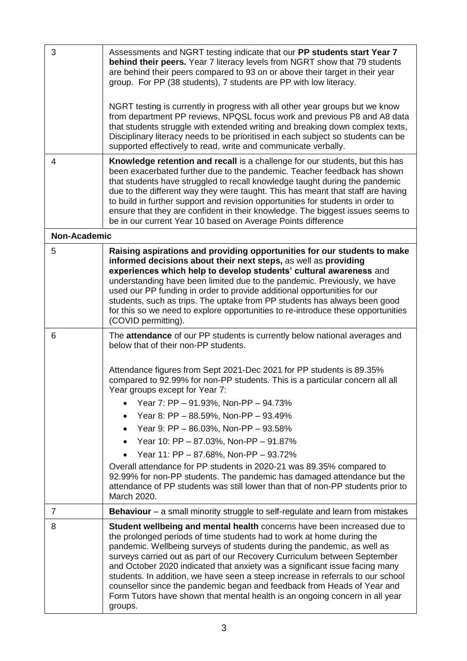| 3                   | Assessments and NGRT testing indicate that our PP students start Year 7<br>behind their peers. Year 7 literacy levels from NGRT show that 79 students<br>are behind their peers compared to 93 on or above their target in their year<br>group. For PP (38 students), 7 students are PP with low literacy.<br>NGRT testing is currently in progress with all other year groups but we know<br>from department PP reviews, NPQSL focus work and previous P8 and A8 data<br>that students struggle with extended writing and breaking down complex texts,<br>Disciplinary literacy needs to be prioritised in each subject so students can be    |
|---------------------|------------------------------------------------------------------------------------------------------------------------------------------------------------------------------------------------------------------------------------------------------------------------------------------------------------------------------------------------------------------------------------------------------------------------------------------------------------------------------------------------------------------------------------------------------------------------------------------------------------------------------------------------|
|                     | supported effectively to read, write and communicate verbally.                                                                                                                                                                                                                                                                                                                                                                                                                                                                                                                                                                                 |
| 4                   | Knowledge retention and recall is a challenge for our students, but this has<br>been exacerbated further due to the pandemic. Teacher feedback has shown<br>that students have struggled to recall knowledge taught during the pandemic<br>due to the different way they were taught. This has meant that staff are having<br>to build in further support and revision opportunities for students in order to<br>ensure that they are confident in their knowledge. The biggest issues seems to<br>be in our current Year 10 based on Average Points difference                                                                                |
| <b>Non-Academic</b> |                                                                                                                                                                                                                                                                                                                                                                                                                                                                                                                                                                                                                                                |
| 5                   | Raising aspirations and providing opportunities for our students to make<br>informed decisions about their next steps, as well as providing<br>experiences which help to develop students' cultural awareness and<br>understanding have been limited due to the pandemic. Previously, we have<br>used our PP funding in order to provide additional opportunities for our<br>students, such as trips. The uptake from PP students has always been good<br>for this so we need to explore opportunities to re-introduce these opportunities<br>(COVID permitting).                                                                              |
| 6                   | The attendance of our PP students is currently below national averages and<br>below that of their non-PP students.                                                                                                                                                                                                                                                                                                                                                                                                                                                                                                                             |
|                     | Attendance figures from Sept 2021-Dec 2021 for PP students is 89.35%<br>compared to 92.99% for non-PP students. This is a particular concern all all<br>Year groups except for Year 7:                                                                                                                                                                                                                                                                                                                                                                                                                                                         |
|                     | Year 7: PP - 91.93%, Non-PP - 94.73%                                                                                                                                                                                                                                                                                                                                                                                                                                                                                                                                                                                                           |
|                     | Year 8: PP - 88.59%, Non-PP - 93.49%                                                                                                                                                                                                                                                                                                                                                                                                                                                                                                                                                                                                           |
|                     | Year 9: PP - 86.03%, Non-PP - 93.58%                                                                                                                                                                                                                                                                                                                                                                                                                                                                                                                                                                                                           |
|                     | Year 10: PP - 87.03%, Non-PP - 91.87%                                                                                                                                                                                                                                                                                                                                                                                                                                                                                                                                                                                                          |
|                     | Year 11: PP - 87.68%, Non-PP - 93.72%                                                                                                                                                                                                                                                                                                                                                                                                                                                                                                                                                                                                          |
|                     | Overall attendance for PP students in 2020-21 was 89.35% compared to<br>92.99% for non-PP students. The pandemic has damaged attendance but the<br>attendance of PP students was still lower than that of non-PP students prior to<br>March 2020.                                                                                                                                                                                                                                                                                                                                                                                              |
| $\overline{7}$      | <b>Behaviour</b> – a small minority struggle to self-regulate and learn from mistakes                                                                                                                                                                                                                                                                                                                                                                                                                                                                                                                                                          |
| 8                   | Student wellbeing and mental health concerns have been increased due to<br>the prolonged periods of time students had to work at home during the<br>pandemic. Wellbeing surveys of students during the pandemic, as well as<br>surveys carried out as part of our Recovery Curriculum between September<br>and October 2020 indicated that anxiety was a significant issue facing many<br>students. In addition, we have seen a steep increase in referrals to our school<br>counsellor since the pandemic began and feedback from Heads of Year and<br>Form Tutors have shown that mental health is an ongoing concern in all year<br>groups. |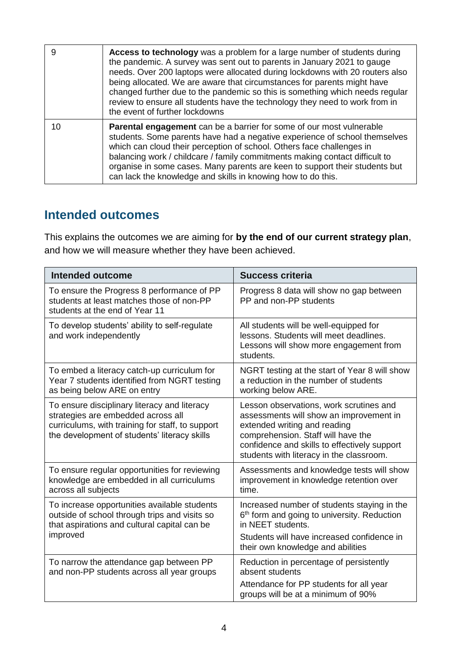| 9  | Access to technology was a problem for a large number of students during<br>the pandemic. A survey was sent out to parents in January 2021 to gauge<br>needs. Over 200 laptops were allocated during lockdowns with 20 routers also<br>being allocated. We are aware that circumstances for parents might have<br>changed further due to the pandemic so this is something which needs regular<br>review to ensure all students have the technology they need to work from in<br>the event of further lockdowns |
|----|-----------------------------------------------------------------------------------------------------------------------------------------------------------------------------------------------------------------------------------------------------------------------------------------------------------------------------------------------------------------------------------------------------------------------------------------------------------------------------------------------------------------|
| 10 | <b>Parental engagement</b> can be a barrier for some of our most vulnerable<br>students. Some parents have had a negative experience of school themselves<br>which can cloud their perception of school. Others face challenges in<br>balancing work / childcare / family commitments making contact difficult to<br>organise in some cases. Many parents are keen to support their students but<br>can lack the knowledge and skills in knowing how to do this.                                                |

#### **Intended outcomes**

This explains the outcomes we are aiming for **by the end of our current strategy plan**, and how we will measure whether they have been achieved.

| <b>Intended outcome</b>                                                                                                                                                                | <b>Success criteria</b>                                                                                                                                                                                                                              |
|----------------------------------------------------------------------------------------------------------------------------------------------------------------------------------------|------------------------------------------------------------------------------------------------------------------------------------------------------------------------------------------------------------------------------------------------------|
| To ensure the Progress 8 performance of PP<br>students at least matches those of non-PP<br>students at the end of Year 11                                                              | Progress 8 data will show no gap between<br>PP and non-PP students                                                                                                                                                                                   |
| To develop students' ability to self-regulate<br>and work independently                                                                                                                | All students will be well-equipped for<br>lessons. Students will meet deadlines.<br>Lessons will show more engagement from<br>students.                                                                                                              |
| To embed a literacy catch-up curriculum for<br>Year 7 students identified from NGRT testing<br>as being below ARE on entry                                                             | NGRT testing at the start of Year 8 will show<br>a reduction in the number of students<br>working below ARE.                                                                                                                                         |
| To ensure disciplinary literacy and literacy<br>strategies are embedded across all<br>curriculums, with training for staff, to support<br>the development of students' literacy skills | Lesson observations, work scrutines and<br>assessments will show an improvement in<br>extended writing and reading<br>comprehension. Staff will have the<br>confidence and skills to effectively support<br>students with literacy in the classroom. |
| To ensure regular opportunities for reviewing<br>knowledge are embedded in all curriculums<br>across all subjects                                                                      | Assessments and knowledge tests will show<br>improvement in knowledge retention over<br>time.                                                                                                                                                        |
| To increase opportunities available students<br>outside of school through trips and visits so<br>that aspirations and cultural capital can be<br>improved                              | Increased number of students staying in the<br>6 <sup>th</sup> form and going to university. Reduction<br>in NEET students.<br>Students will have increased confidence in<br>their own knowledge and abilities                                       |
| To narrow the attendance gap between PP<br>and non-PP students across all year groups                                                                                                  | Reduction in percentage of persistently<br>absent students<br>Attendance for PP students for all year<br>groups will be at a minimum of 90%                                                                                                          |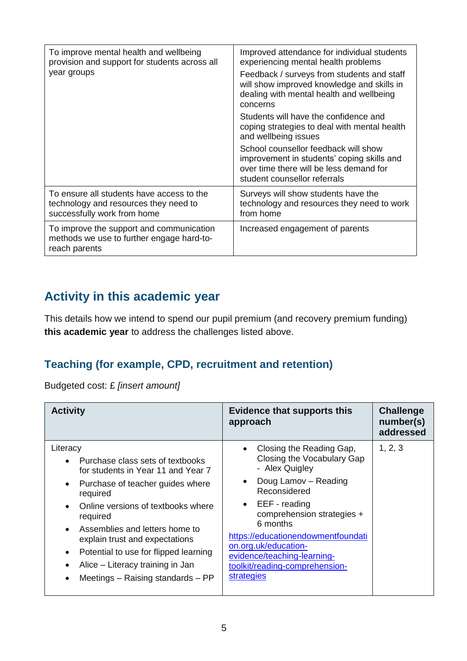| To improve mental health and wellbeing<br>provision and support for students across all<br>year groups            | Improved attendance for individual students<br>experiencing mental health problems<br>Feedback / surveys from students and staff<br>will show improved knowledge and skills in<br>dealing with mental health and wellbeing<br>concerns<br>Students will have the confidence and<br>coping strategies to deal with mental health<br>and wellbeing issues<br>School counsellor feedback will show<br>improvement in students' coping skills and<br>over time there will be less demand for<br>student counsellor referrals |
|-------------------------------------------------------------------------------------------------------------------|--------------------------------------------------------------------------------------------------------------------------------------------------------------------------------------------------------------------------------------------------------------------------------------------------------------------------------------------------------------------------------------------------------------------------------------------------------------------------------------------------------------------------|
| To ensure all students have access to the<br>technology and resources they need to<br>successfully work from home | Surveys will show students have the<br>technology and resources they need to work<br>from home                                                                                                                                                                                                                                                                                                                                                                                                                           |
| To improve the support and communication<br>methods we use to further engage hard-to-<br>reach parents            | Increased engagement of parents                                                                                                                                                                                                                                                                                                                                                                                                                                                                                          |

## **Activity in this academic year**

This details how we intend to spend our pupil premium (and recovery premium funding) **this academic year** to address the challenges listed above.

#### **Teaching (for example, CPD, recruitment and retention)**

Budgeted cost: £ *[insert amount]*

| <b>Activity</b>                                                                                                                                                                                                                                                                                                                                                                                                                                 | <b>Evidence that supports this</b><br>approach                                                                                                                                                                                                                                                                                                               | <b>Challenge</b><br>number(s)<br>addressed |
|-------------------------------------------------------------------------------------------------------------------------------------------------------------------------------------------------------------------------------------------------------------------------------------------------------------------------------------------------------------------------------------------------------------------------------------------------|--------------------------------------------------------------------------------------------------------------------------------------------------------------------------------------------------------------------------------------------------------------------------------------------------------------------------------------------------------------|--------------------------------------------|
| Literacy<br>Purchase class sets of textbooks<br>for students in Year 11 and Year 7<br>Purchase of teacher guides where<br>$\bullet$<br>required<br>Online versions of textbooks where<br>required<br>Assemblies and letters home to<br>$\bullet$<br>explain trust and expectations<br>Potential to use for flipped learning<br>$\bullet$<br>Alice – Literacy training in Jan<br>$\bullet$<br>Meetings $-$ Raising standards $-$ PP<br>$\bullet$ | Closing the Reading Gap,<br>$\bullet$<br>Closing the Vocabulary Gap<br>- Alex Quigley<br>Doug Lamov - Reading<br>$\bullet$<br>Reconsidered<br>$\bullet$ EEF - reading<br>comprehension strategies +<br>6 months<br>https://educationendowmentfoundati<br>on.org.uk/education-<br>evidence/teaching-learning-<br>toolkit/reading-comprehension-<br>strategies | 1, 2, 3                                    |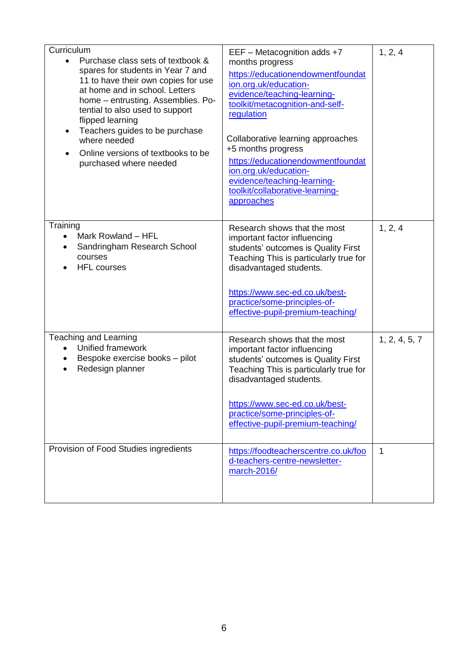| Curriculum<br>Purchase class sets of textbook &<br>$\bullet$<br>spares for students in Year 7 and<br>11 to have their own copies for use<br>at home and in school. Letters<br>home - entrusting. Assemblies. Po-<br>tential to also used to support<br>flipped learning<br>Teachers guides to be purchase<br>$\bullet$<br>where needed<br>Online versions of textbooks to be<br>purchased where needed | EEF - Metacognition adds +7<br>months progress<br>https://educationendowmentfoundat<br>ion.org.uk/education-<br>evidence/teaching-learning-<br>toolkit/metacognition-and-self-<br>regulation<br>Collaborative learning approaches<br>+5 months progress<br>https://educationendowmentfoundat<br>ion.org.uk/education-<br>evidence/teaching-learning-<br>toolkit/collaborative-learning-<br>approaches | 1, 2, 4       |
|--------------------------------------------------------------------------------------------------------------------------------------------------------------------------------------------------------------------------------------------------------------------------------------------------------------------------------------------------------------------------------------------------------|-------------------------------------------------------------------------------------------------------------------------------------------------------------------------------------------------------------------------------------------------------------------------------------------------------------------------------------------------------------------------------------------------------|---------------|
| Training<br>Mark Rowland - HFL<br>$\bullet$<br>Sandringham Research School<br>courses<br><b>HFL</b> courses                                                                                                                                                                                                                                                                                            | Research shows that the most<br>important factor influencing<br>students' outcomes is Quality First<br>Teaching This is particularly true for<br>disadvantaged students.<br>https://www.sec-ed.co.uk/best-<br>practice/some-principles-of-<br>effective-pupil-premium-teaching/                                                                                                                       | 1, 2, 4       |
| <b>Teaching and Learning</b><br>Unified framework<br>Bespoke exercise books - pilot<br>Redesign planner                                                                                                                                                                                                                                                                                                | Research shows that the most<br>important factor influencing<br>students' outcomes is Quality First<br>Teaching This is particularly true for<br>disadvantaged students.<br>https://www.sec-ed.co.uk/best-<br>practice/some-principles-of-<br>effective-pupil-premium-teaching/                                                                                                                       | 1, 2, 4, 5, 7 |
| Provision of Food Studies ingredients                                                                                                                                                                                                                                                                                                                                                                  | https://foodteacherscentre.co.uk/foo<br>d-teachers-centre-newsletter-<br>march-2016/                                                                                                                                                                                                                                                                                                                  | 1             |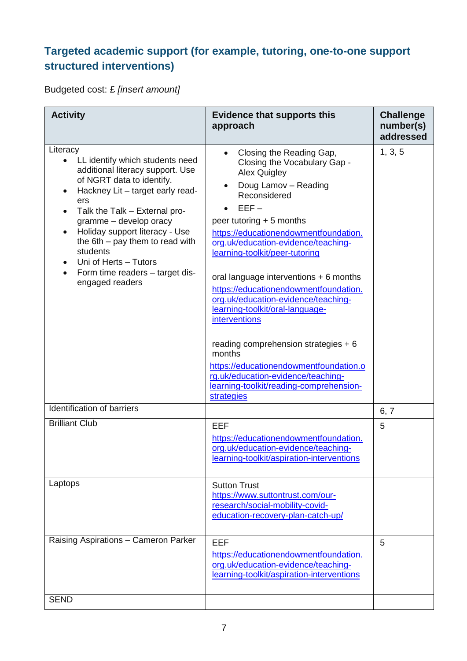### **Targeted academic support (for example, tutoring, one-to-one support structured interventions)**

Budgeted cost: £ *[insert amount]*

| <b>Activity</b>                                                                                                                                                                                                                                                                                                                                                                                                             | <b>Evidence that supports this</b><br>approach                                                                                                                                                                                                                                                                                                                                                                                                                                                                                                                                                                                                              | <b>Challenge</b><br>number(s)<br>addressed |
|-----------------------------------------------------------------------------------------------------------------------------------------------------------------------------------------------------------------------------------------------------------------------------------------------------------------------------------------------------------------------------------------------------------------------------|-------------------------------------------------------------------------------------------------------------------------------------------------------------------------------------------------------------------------------------------------------------------------------------------------------------------------------------------------------------------------------------------------------------------------------------------------------------------------------------------------------------------------------------------------------------------------------------------------------------------------------------------------------------|--------------------------------------------|
| Literacy<br>LL identify which students need<br>$\bullet$<br>additional literacy support. Use<br>of NGRT data to identify.<br>Hackney Lit - target early read-<br>ers<br>Talk the Talk - External pro-<br>$\bullet$<br>gramme - develop oracy<br>Holiday support literacy - Use<br>the $6th$ – pay them to read with<br>students<br>Uni of Herts - Tutors<br>Form time readers - target dis-<br>$\bullet$<br>engaged readers | Closing the Reading Gap,<br>Closing the Vocabulary Gap -<br><b>Alex Quigley</b><br>Doug Lamov - Reading<br>Reconsidered<br>$EEF -$<br>peer tutoring $+5$ months<br>https://educationendowmentfoundation.<br>org.uk/education-evidence/teaching-<br>learning-toolkit/peer-tutoring<br>oral language interventions + 6 months<br>https://educationendowmentfoundation.<br>org.uk/education-evidence/teaching-<br>learning-toolkit/oral-language-<br>interventions<br>reading comprehension strategies $+6$<br>months<br>https://educationendowmentfoundation.o<br>rg.uk/education-evidence/teaching-<br>learning-toolkit/reading-comprehension-<br>strategies | 1, 3, 5                                    |
| Identification of barriers                                                                                                                                                                                                                                                                                                                                                                                                  |                                                                                                                                                                                                                                                                                                                                                                                                                                                                                                                                                                                                                                                             | 6, 7                                       |
| <b>Brilliant Club</b>                                                                                                                                                                                                                                                                                                                                                                                                       | <b>EEF</b><br>https://educationendowmentfoundation.<br>org.uk/education-evidence/teaching-<br>learning-toolkit/aspiration-interventions                                                                                                                                                                                                                                                                                                                                                                                                                                                                                                                     | 5                                          |
| Laptops                                                                                                                                                                                                                                                                                                                                                                                                                     | <b>Sutton Trust</b><br>https://www.suttontrust.com/our-<br>research/social-mobility-covid-<br>education-recovery-plan-catch-up/                                                                                                                                                                                                                                                                                                                                                                                                                                                                                                                             |                                            |
| Raising Aspirations - Cameron Parker                                                                                                                                                                                                                                                                                                                                                                                        | <b>EEF</b><br>https://educationendowmentfoundation.<br>org.uk/education-evidence/teaching-<br>learning-toolkit/aspiration-interventions                                                                                                                                                                                                                                                                                                                                                                                                                                                                                                                     | 5                                          |
| <b>SEND</b>                                                                                                                                                                                                                                                                                                                                                                                                                 |                                                                                                                                                                                                                                                                                                                                                                                                                                                                                                                                                                                                                                                             |                                            |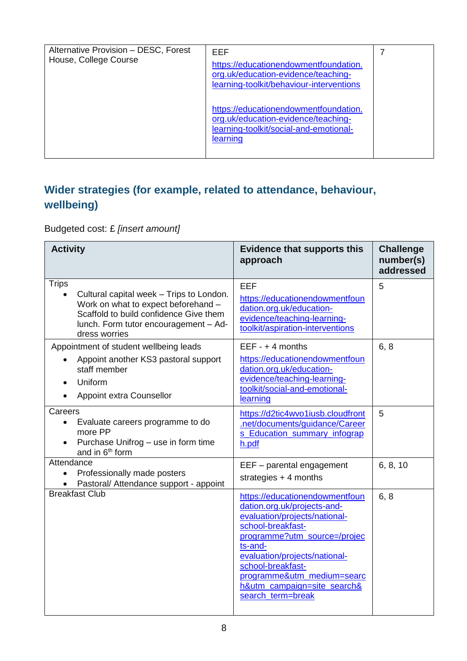| Alternative Provision - DESC, Forest<br>House, College Course | EEF<br>https://educationendowmentfoundation.<br>org.uk/education-evidence/teaching-<br>learning-toolkit/behaviour-interventions    |  |
|---------------------------------------------------------------|------------------------------------------------------------------------------------------------------------------------------------|--|
|                                                               | https://educationendowmentfoundation.<br>org.uk/education-evidence/teaching-<br>learning-toolkit/social-and-emotional-<br>learning |  |

## **Wider strategies (for example, related to attendance, behaviour, wellbeing)**

Budgeted cost: £ *[insert amount]*

| <b>Activity</b>                                                                                                                                                                                     | <b>Evidence that supports this</b><br>approach                                                                                                                                                                                                                                                         | <b>Challenge</b><br>number(s)<br>addressed |
|-----------------------------------------------------------------------------------------------------------------------------------------------------------------------------------------------------|--------------------------------------------------------------------------------------------------------------------------------------------------------------------------------------------------------------------------------------------------------------------------------------------------------|--------------------------------------------|
| <b>Trips</b><br>Cultural capital week - Trips to London.<br>Work on what to expect beforehand -<br>Scaffold to build confidence Give them<br>lunch. Form tutor encouragement - Ad-<br>dress worries | <b>EEF</b><br>https://educationendowmentfoun<br>dation.org.uk/education-<br>evidence/teaching-learning-<br>toolkit/aspiration-interventions                                                                                                                                                            | 5                                          |
| Appointment of student wellbeing leads<br>Appoint another KS3 pastoral support<br>staff member<br>Uniform<br>Appoint extra Counsellor                                                               | $EEF - + 4$ months<br>https://educationendowmentfoun<br>dation.org.uk/education-<br>evidence/teaching-learning-<br>toolkit/social-and-emotional-<br>learning                                                                                                                                           | 6, 8                                       |
| Careers<br>Evaluate careers programme to do<br>more PP<br>Purchase Unifrog - use in form time<br>and in 6 <sup>th</sup> form                                                                        | https://d2tic4wvo1iusb.cloudfront<br>.net/documents/guidance/Career<br>s Education summary infograp<br>h.pdf                                                                                                                                                                                           | 5                                          |
| Attendance<br>Professionally made posters<br>$\bullet$<br>Pastoral/ Attendance support - appoint                                                                                                    | EEF - parental engagement<br>strategies $+4$ months                                                                                                                                                                                                                                                    | 6, 8, 10                                   |
| <b>Breakfast Club</b>                                                                                                                                                                               | https://educationendowmentfoun<br>dation.org.uk/projects-and-<br>evaluation/projects/national-<br>school-breakfast-<br>programme?utm_source=/projec<br>ts-and-<br>evaluation/projects/national-<br>school-breakfast-<br>programme&utm_medium=searc<br>h&utm_campaign=site_search&<br>search_term=break | 6, 8                                       |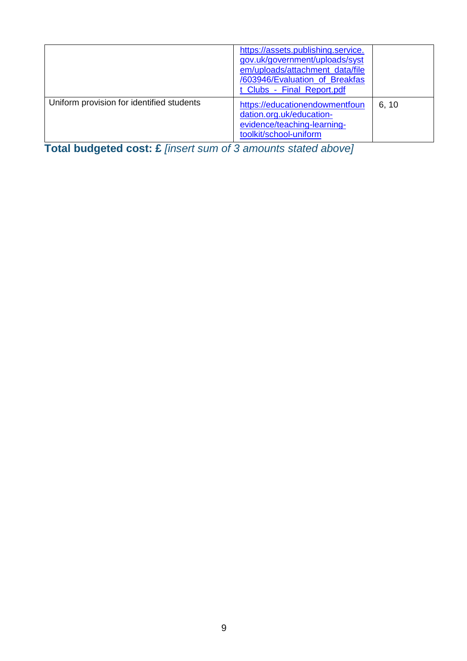|                                           | https://assets.publishing.service.<br>gov.uk/government/uploads/syst<br>em/uploads/attachment_data/file<br>/603946/Evaluation_of_Breakfas<br>t_Clubs_-_Final_Report.pdf |       |
|-------------------------------------------|-------------------------------------------------------------------------------------------------------------------------------------------------------------------------|-------|
| Uniform provision for identified students | https://educationendowmentfoun<br>dation.org.uk/education-<br>evidence/teaching-learning-<br>toolkit/school-uniform                                                     | 6, 10 |

**Total budgeted cost: £** *[insert sum of 3 amounts stated above]*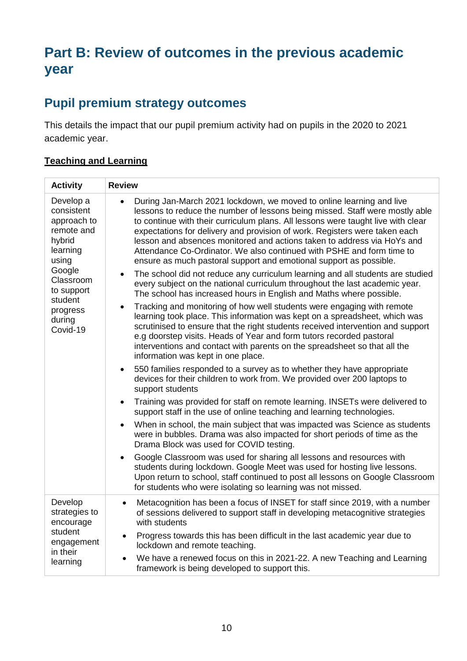# **Part B: Review of outcomes in the previous academic year**

### **Pupil premium strategy outcomes**

This details the impact that our pupil premium activity had on pupils in the 2020 to 2021 academic year.

#### **Teaching and Learning**

| <b>Activity</b>                                                                                                                                                       | <b>Review</b>                                                                                                                                                                                                                                                                                                                                                                                                                                                                                                                                                                                                                                                                                                                                                                                                                                                                                                                                                                                                                                                                                                                                                                                                                                                                                                                                                                                                                                                                                                                                                                                                                                                                                                                                                                                                                                                                                                                                                                                                               |
|-----------------------------------------------------------------------------------------------------------------------------------------------------------------------|-----------------------------------------------------------------------------------------------------------------------------------------------------------------------------------------------------------------------------------------------------------------------------------------------------------------------------------------------------------------------------------------------------------------------------------------------------------------------------------------------------------------------------------------------------------------------------------------------------------------------------------------------------------------------------------------------------------------------------------------------------------------------------------------------------------------------------------------------------------------------------------------------------------------------------------------------------------------------------------------------------------------------------------------------------------------------------------------------------------------------------------------------------------------------------------------------------------------------------------------------------------------------------------------------------------------------------------------------------------------------------------------------------------------------------------------------------------------------------------------------------------------------------------------------------------------------------------------------------------------------------------------------------------------------------------------------------------------------------------------------------------------------------------------------------------------------------------------------------------------------------------------------------------------------------------------------------------------------------------------------------------------------------|
| Develop a<br>consistent<br>approach to<br>remote and<br>hybrid<br>learning<br>using<br>Google<br>Classroom<br>to support<br>student<br>progress<br>during<br>Covid-19 | During Jan-March 2021 lockdown, we moved to online learning and live<br>lessons to reduce the number of lessons being missed. Staff were mostly able<br>to continue with their curriculum plans. All lessons were taught live with clear<br>expectations for delivery and provision of work. Registers were taken each<br>lesson and absences monitored and actions taken to address via HoYs and<br>Attendance Co-Ordinator. We also continued with PSHE and form time to<br>ensure as much pastoral support and emotional support as possible.<br>The school did not reduce any curriculum learning and all students are studied<br>every subject on the national curriculum throughout the last academic year.<br>The school has increased hours in English and Maths where possible.<br>Tracking and monitoring of how well students were engaging with remote<br>$\bullet$<br>learning took place. This information was kept on a spreadsheet, which was<br>scrutinised to ensure that the right students received intervention and support<br>e.g doorstep visits. Heads of Year and form tutors recorded pastoral<br>interventions and contact with parents on the spreadsheet so that all the<br>information was kept in one place.<br>550 families responded to a survey as to whether they have appropriate<br>devices for their children to work from. We provided over 200 laptops to<br>support students<br>Training was provided for staff on remote learning. INSETs were delivered to<br>support staff in the use of online teaching and learning technologies.<br>When in school, the main subject that was impacted was Science as students<br>were in bubbles. Drama was also impacted for short periods of time as the<br>Drama Block was used for COVID testing.<br>Google Classroom was used for sharing all lessons and resources with<br>students during lockdown. Google Meet was used for hosting live lessons.<br>Upon return to school, staff continued to post all lessons on Google Classroom |
|                                                                                                                                                                       | for students who were isolating so learning was not missed.                                                                                                                                                                                                                                                                                                                                                                                                                                                                                                                                                                                                                                                                                                                                                                                                                                                                                                                                                                                                                                                                                                                                                                                                                                                                                                                                                                                                                                                                                                                                                                                                                                                                                                                                                                                                                                                                                                                                                                 |
| Develop<br>strategies to<br>encourage<br>student<br>engagement<br>in their<br>learning                                                                                | Metacognition has been a focus of INSET for staff since 2019, with a number<br>of sessions delivered to support staff in developing metacognitive strategies<br>with students                                                                                                                                                                                                                                                                                                                                                                                                                                                                                                                                                                                                                                                                                                                                                                                                                                                                                                                                                                                                                                                                                                                                                                                                                                                                                                                                                                                                                                                                                                                                                                                                                                                                                                                                                                                                                                               |
|                                                                                                                                                                       | Progress towards this has been difficult in the last academic year due to<br>lockdown and remote teaching.                                                                                                                                                                                                                                                                                                                                                                                                                                                                                                                                                                                                                                                                                                                                                                                                                                                                                                                                                                                                                                                                                                                                                                                                                                                                                                                                                                                                                                                                                                                                                                                                                                                                                                                                                                                                                                                                                                                  |
|                                                                                                                                                                       | We have a renewed focus on this in 2021-22. A new Teaching and Learning<br>framework is being developed to support this.                                                                                                                                                                                                                                                                                                                                                                                                                                                                                                                                                                                                                                                                                                                                                                                                                                                                                                                                                                                                                                                                                                                                                                                                                                                                                                                                                                                                                                                                                                                                                                                                                                                                                                                                                                                                                                                                                                    |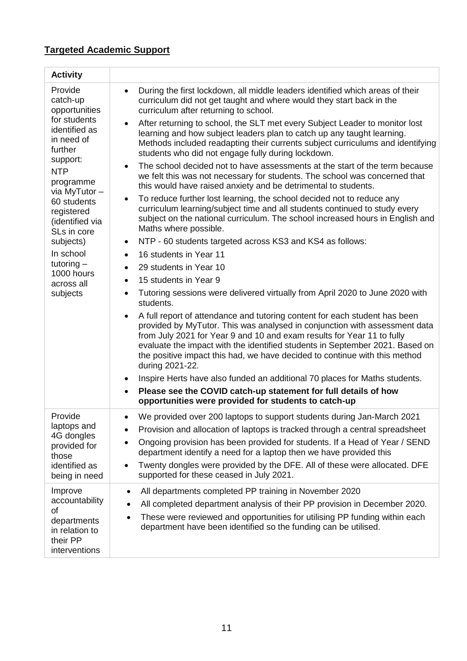### **Targeted Academic Support**

| <b>Activity</b>                                                                                                                                                                                                                                                                                        |                                                                                                                                                                                                                                                                                                                                                                                                                                                                                                                                                                                                                                                                                                                                                                                                                                                                                                                                                                                                                                                                                                                                                                                                                                                                                                                                                                                                                                                                                                                                                                                                                                                                                                                                                                                                                                                                                                                                                                                                                       |
|--------------------------------------------------------------------------------------------------------------------------------------------------------------------------------------------------------------------------------------------------------------------------------------------------------|-----------------------------------------------------------------------------------------------------------------------------------------------------------------------------------------------------------------------------------------------------------------------------------------------------------------------------------------------------------------------------------------------------------------------------------------------------------------------------------------------------------------------------------------------------------------------------------------------------------------------------------------------------------------------------------------------------------------------------------------------------------------------------------------------------------------------------------------------------------------------------------------------------------------------------------------------------------------------------------------------------------------------------------------------------------------------------------------------------------------------------------------------------------------------------------------------------------------------------------------------------------------------------------------------------------------------------------------------------------------------------------------------------------------------------------------------------------------------------------------------------------------------------------------------------------------------------------------------------------------------------------------------------------------------------------------------------------------------------------------------------------------------------------------------------------------------------------------------------------------------------------------------------------------------------------------------------------------------------------------------------------------------|
| Provide<br>catch-up<br>opportunities<br>for students<br>identified as<br>in need of<br>further<br>support:<br><b>NTP</b><br>programme<br>via MyTutor-<br>60 students<br>registered<br>(identified via<br>SLs in core<br>subjects)<br>In school<br>tutoring $-$<br>1000 hours<br>across all<br>subjects | During the first lockdown, all middle leaders identified which areas of their<br>$\bullet$<br>curriculum did not get taught and where would they start back in the<br>curriculum after returning to school.<br>After returning to school, the SLT met every Subject Leader to monitor lost<br>$\bullet$<br>learning and how subject leaders plan to catch up any taught learning.<br>Methods included readapting their currents subject curriculums and identifying<br>students who did not engage fully during lockdown.<br>The school decided not to have assessments at the start of the term because<br>$\bullet$<br>we felt this was not necessary for students. The school was concerned that<br>this would have raised anxiety and be detrimental to students.<br>To reduce further lost learning, the school decided not to reduce any<br>$\bullet$<br>curriculum learning/subject time and all students continued to study every<br>subject on the national curriculum. The school increased hours in English and<br>Maths where possible.<br>NTP - 60 students targeted across KS3 and KS4 as follows:<br>$\bullet$<br>16 students in Year 11<br>$\bullet$<br>29 students in Year 10<br>$\bullet$<br>15 students in Year 9<br>$\bullet$<br>Tutoring sessions were delivered virtually from April 2020 to June 2020 with<br>$\bullet$<br>students.<br>A full report of attendance and tutoring content for each student has been<br>$\bullet$<br>provided by MyTutor. This was analysed in conjunction with assessment data<br>from July 2021 for Year 9 and 10 and exam results for Year 11 to fully<br>evaluate the impact with the identified students in September 2021. Based on<br>the positive impact this had, we have decided to continue with this method<br>during 2021-22.<br>Inspire Herts have also funded an additional 70 places for Maths students.<br>$\bullet$<br>Please see the COVID catch-up statement for full details of how<br>opportunities were provided for students to catch-up |
| Provide<br>laptops and<br>4G dongles<br>provided for<br>those<br>identified as<br>being in need                                                                                                                                                                                                        | We provided over 200 laptops to support students during Jan-March 2021<br>$\bullet$<br>Provision and allocation of laptops is tracked through a central spreadsheet<br>$\bullet$<br>Ongoing provision has been provided for students. If a Head of Year / SEND<br>$\bullet$<br>department identify a need for a laptop then we have provided this<br>Twenty dongles were provided by the DFE. All of these were allocated. DFE<br>$\bullet$<br>supported for these ceased in July 2021.                                                                                                                                                                                                                                                                                                                                                                                                                                                                                                                                                                                                                                                                                                                                                                                                                                                                                                                                                                                                                                                                                                                                                                                                                                                                                                                                                                                                                                                                                                                               |
| Improve<br>accountability<br>of<br>departments<br>in relation to<br>their PP<br>interventions                                                                                                                                                                                                          | All departments completed PP training in November 2020<br>$\bullet$<br>All completed department analysis of their PP provision in December 2020.<br>$\bullet$<br>These were reviewed and opportunities for utilising PP funding within each<br>$\bullet$<br>department have been identified so the funding can be utilised.                                                                                                                                                                                                                                                                                                                                                                                                                                                                                                                                                                                                                                                                                                                                                                                                                                                                                                                                                                                                                                                                                                                                                                                                                                                                                                                                                                                                                                                                                                                                                                                                                                                                                           |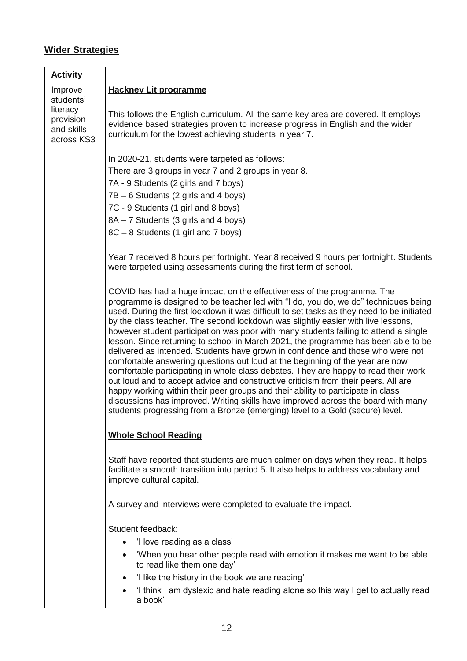#### **Wider Strategies**

| <b>Activity</b>                                                |                                                                                                                                                                                                                                                                                                                                                                                                                                                                                                                                                                                                                                                                                                                                                                                                                                                                                                                                                                                                                                                                                                                                                                                                                                                                                                        |  |
|----------------------------------------------------------------|--------------------------------------------------------------------------------------------------------------------------------------------------------------------------------------------------------------------------------------------------------------------------------------------------------------------------------------------------------------------------------------------------------------------------------------------------------------------------------------------------------------------------------------------------------------------------------------------------------------------------------------------------------------------------------------------------------------------------------------------------------------------------------------------------------------------------------------------------------------------------------------------------------------------------------------------------------------------------------------------------------------------------------------------------------------------------------------------------------------------------------------------------------------------------------------------------------------------------------------------------------------------------------------------------------|--|
| Improve                                                        | <b>Hackney Lit programme</b>                                                                                                                                                                                                                                                                                                                                                                                                                                                                                                                                                                                                                                                                                                                                                                                                                                                                                                                                                                                                                                                                                                                                                                                                                                                                           |  |
| students'<br>literacy<br>provision<br>and skills<br>across KS3 | This follows the English curriculum. All the same key area are covered. It employs<br>evidence based strategies proven to increase progress in English and the wider<br>curriculum for the lowest achieving students in year 7.                                                                                                                                                                                                                                                                                                                                                                                                                                                                                                                                                                                                                                                                                                                                                                                                                                                                                                                                                                                                                                                                        |  |
|                                                                |                                                                                                                                                                                                                                                                                                                                                                                                                                                                                                                                                                                                                                                                                                                                                                                                                                                                                                                                                                                                                                                                                                                                                                                                                                                                                                        |  |
|                                                                | In 2020-21, students were targeted as follows:                                                                                                                                                                                                                                                                                                                                                                                                                                                                                                                                                                                                                                                                                                                                                                                                                                                                                                                                                                                                                                                                                                                                                                                                                                                         |  |
|                                                                | There are 3 groups in year 7 and 2 groups in year 8.                                                                                                                                                                                                                                                                                                                                                                                                                                                                                                                                                                                                                                                                                                                                                                                                                                                                                                                                                                                                                                                                                                                                                                                                                                                   |  |
|                                                                | 7A - 9 Students (2 girls and 7 boys)                                                                                                                                                                                                                                                                                                                                                                                                                                                                                                                                                                                                                                                                                                                                                                                                                                                                                                                                                                                                                                                                                                                                                                                                                                                                   |  |
|                                                                | 7B – 6 Students (2 girls and 4 boys)                                                                                                                                                                                                                                                                                                                                                                                                                                                                                                                                                                                                                                                                                                                                                                                                                                                                                                                                                                                                                                                                                                                                                                                                                                                                   |  |
|                                                                | 7C - 9 Students (1 girl and 8 boys)                                                                                                                                                                                                                                                                                                                                                                                                                                                                                                                                                                                                                                                                                                                                                                                                                                                                                                                                                                                                                                                                                                                                                                                                                                                                    |  |
|                                                                | 8A - 7 Students (3 girls and 4 boys)<br>8C - 8 Students (1 girl and 7 boys)                                                                                                                                                                                                                                                                                                                                                                                                                                                                                                                                                                                                                                                                                                                                                                                                                                                                                                                                                                                                                                                                                                                                                                                                                            |  |
|                                                                |                                                                                                                                                                                                                                                                                                                                                                                                                                                                                                                                                                                                                                                                                                                                                                                                                                                                                                                                                                                                                                                                                                                                                                                                                                                                                                        |  |
|                                                                | Year 7 received 8 hours per fortnight. Year 8 received 9 hours per fortnight. Students<br>were targeted using assessments during the first term of school.<br>COVID has had a huge impact on the effectiveness of the programme. The<br>programme is designed to be teacher led with "I do, you do, we do" techniques being<br>used. During the first lockdown it was difficult to set tasks as they need to be initiated<br>by the class teacher. The second lockdown was slightly easier with live lessons,<br>however student participation was poor with many students failing to attend a single<br>lesson. Since returning to school in March 2021, the programme has been able to be<br>delivered as intended. Students have grown in confidence and those who were not<br>comfortable answering questions out loud at the beginning of the year are now<br>comfortable participating in whole class debates. They are happy to read their work<br>out loud and to accept advice and constructive criticism from their peers. All are<br>happy working within their peer groups and their ability to participate in class<br>discussions has improved. Writing skills have improved across the board with many<br>students progressing from a Bronze (emerging) level to a Gold (secure) level. |  |
|                                                                |                                                                                                                                                                                                                                                                                                                                                                                                                                                                                                                                                                                                                                                                                                                                                                                                                                                                                                                                                                                                                                                                                                                                                                                                                                                                                                        |  |
|                                                                | <b>Whole School Reading</b>                                                                                                                                                                                                                                                                                                                                                                                                                                                                                                                                                                                                                                                                                                                                                                                                                                                                                                                                                                                                                                                                                                                                                                                                                                                                            |  |
|                                                                | Staff have reported that students are much calmer on days when they read. It helps<br>facilitate a smooth transition into period 5. It also helps to address vocabulary and<br>improve cultural capital.                                                                                                                                                                                                                                                                                                                                                                                                                                                                                                                                                                                                                                                                                                                                                                                                                                                                                                                                                                                                                                                                                               |  |
|                                                                | A survey and interviews were completed to evaluate the impact.                                                                                                                                                                                                                                                                                                                                                                                                                                                                                                                                                                                                                                                                                                                                                                                                                                                                                                                                                                                                                                                                                                                                                                                                                                         |  |
|                                                                | Student feedback:                                                                                                                                                                                                                                                                                                                                                                                                                                                                                                                                                                                                                                                                                                                                                                                                                                                                                                                                                                                                                                                                                                                                                                                                                                                                                      |  |
|                                                                | 'I love reading as a class'<br>$\bullet$                                                                                                                                                                                                                                                                                                                                                                                                                                                                                                                                                                                                                                                                                                                                                                                                                                                                                                                                                                                                                                                                                                                                                                                                                                                               |  |
|                                                                | 'When you hear other people read with emotion it makes me want to be able<br>to read like them one day'                                                                                                                                                                                                                                                                                                                                                                                                                                                                                                                                                                                                                                                                                                                                                                                                                                                                                                                                                                                                                                                                                                                                                                                                |  |
|                                                                | 'I like the history in the book we are reading'                                                                                                                                                                                                                                                                                                                                                                                                                                                                                                                                                                                                                                                                                                                                                                                                                                                                                                                                                                                                                                                                                                                                                                                                                                                        |  |
|                                                                | 'I think I am dyslexic and hate reading alone so this way I get to actually read<br>a book'                                                                                                                                                                                                                                                                                                                                                                                                                                                                                                                                                                                                                                                                                                                                                                                                                                                                                                                                                                                                                                                                                                                                                                                                            |  |